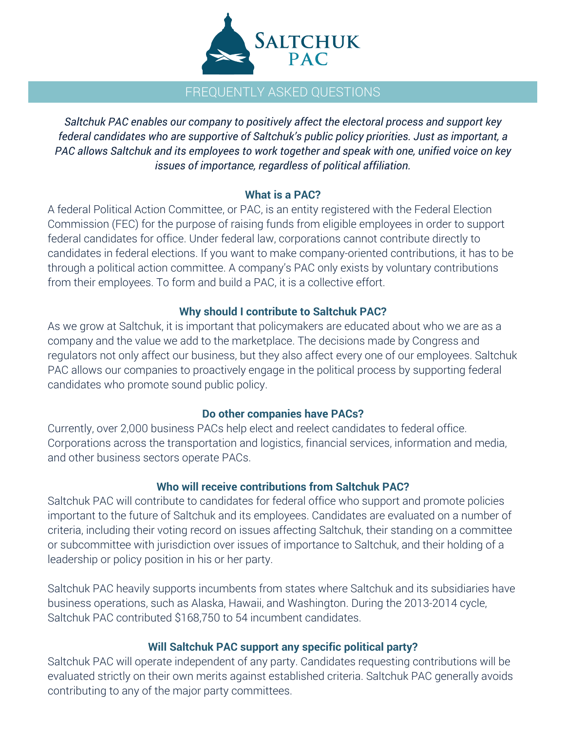

## FREQUENTLY ASKED QUESTIONS

*Saltchuk PAC enables our company to positively affect the electoral process and support key federal candidates who are supportive of Saltchuk's public policy priorities. Just as important, a PAC allows Saltchuk and its employees to work together and speak with one, unified voice on key issues of importance, regardless of political affiliation.*

#### **What is a PAC?**

A federal Political Action Committee, or PAC, is an entity registered with the Federal Election Commission (FEC) for the purpose of raising funds from eligible employees in order to support federal candidates for office. Under federal law, corporations cannot contribute directly to candidates in federal elections. If you want to make company-oriented contributions, it has to be through a political action committee. A company's PAC only exists by voluntary contributions from their employees. To form and build a PAC, it is a collective effort.

## **Why should I contribute to Saltchuk PAC?**

As we grow at Saltchuk, it is important that policymakers are educated about who we are as a company and the value we add to the marketplace. The decisions made by Congress and regulators not only affect our business, but they also affect every one of our employees. Saltchuk PAC allows our companies to proactively engage in the political process by supporting federal candidates who promote sound public policy.

#### **Do other companies have PACs?**

Currently, over 2,000 business PACs help elect and reelect candidates to federal office. Corporations across the transportation and logistics, financial services, information and media, and other business sectors operate PACs.

#### **Who will receive contributions from Saltchuk PAC?**

Saltchuk PAC will contribute to candidates for federal office who support and promote policies important to the future of Saltchuk and its employees. Candidates are evaluated on a number of criteria, including their voting record on issues affecting Saltchuk, their standing on a committee or subcommittee with jurisdiction over issues of importance to Saltchuk, and their holding of a leadership or policy position in his or her party.

Saltchuk PAC heavily supports incumbents from states where Saltchuk and its subsidiaries have business operations, such as Alaska, Hawaii, and Washington. During the 2013-2014 cycle, Saltchuk PAC contributed \$168,750 to 54 incumbent candidates.

#### **Will Saltchuk PAC support any specific political party?**

Saltchuk PAC will operate independent of any party. Candidates requesting contributions will be evaluated strictly on their own merits against established criteria. Saltchuk PAC generally avoids contributing to any of the major party committees.